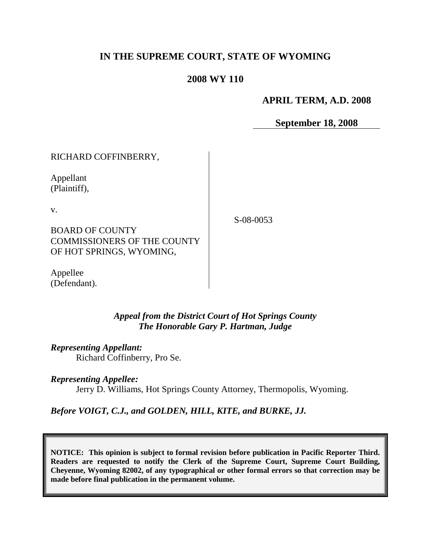# **IN THE SUPREME COURT, STATE OF WYOMING**

## **2008 WY 110**

## **APRIL TERM, A.D. 2008**

**September 18, 2008**

# RICHARD COFFINBERRY,

Appellant (Plaintiff),

v.

S-08-0053

BOARD OF COUNTY COMMISSIONERS OF THE COUNTY OF HOT SPRINGS, WYOMING,

Appellee (Defendant).

### *Appeal from the District Court of Hot Springs County The Honorable Gary P. Hartman, Judge*

*Representing Appellant:*

Richard Coffinberry, Pro Se.

### *Representing Appellee:*

Jerry D. Williams, Hot Springs County Attorney, Thermopolis, Wyoming.

*Before VOIGT, C.J., and GOLDEN, HILL, KITE, and BURKE, JJ.*

**NOTICE: This opinion is subject to formal revision before publication in Pacific Reporter Third. Readers are requested to notify the Clerk of the Supreme Court, Supreme Court Building, Cheyenne, Wyoming 82002, of any typographical or other formal errors so that correction may be made before final publication in the permanent volume.**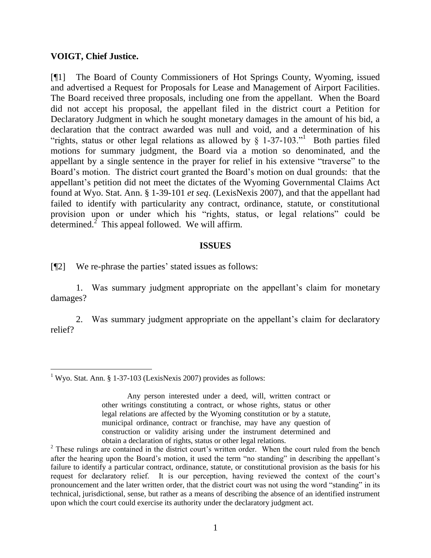#### **VOIGT, Chief Justice.**

[¶1] The Board of County Commissioners of Hot Springs County, Wyoming, issued and advertised a Request for Proposals for Lease and Management of Airport Facilities. The Board received three proposals, including one from the appellant. When the Board did not accept his proposal, the appellant filed in the district court a Petition for Declaratory Judgment in which he sought monetary damages in the amount of his bid, a declaration that the contract awarded was null and void, and a determination of his "rights, status or other legal relations as allowed by  $\S$  1-37-103." Both parties filed motions for summary judgment, the Board via a motion so denominated, and the appellant by a single sentence in the prayer for relief in his extensive "traverse" to the Board's motion. The district court granted the Board's motion on dual grounds: that the appellant's petition did not meet the dictates of the Wyoming Governmental Claims Act found at Wyo. Stat. Ann. § 1-39-101 *et seq*. (LexisNexis 2007), and that the appellant had failed to identify with particularity any contract, ordinance, statute, or constitutional provision upon or under which his "rights, status, or legal relations" could be determined. $\frac{2}{\pi}$  This appeal followed. We will affirm.

#### **ISSUES**

[¶2] We re-phrase the parties' stated issues as follows:

1. Was summary judgment appropriate on the appellant's claim for monetary damages?

2. Was summary judgment appropriate on the appellant's claim for declaratory relief?

<sup>&</sup>lt;sup>1</sup> Wyo. Stat. Ann. § 1-37-103 (LexisNexis 2007) provides as follows:

Any person interested under a deed, will, written contract or other writings constituting a contract, or whose rights, status or other legal relations are affected by the Wyoming constitution or by a statute, municipal ordinance, contract or franchise, may have any question of construction or validity arising under the instrument determined and obtain a declaration of rights, status or other legal relations.

<sup>&</sup>lt;sup>2</sup> These rulings are contained in the district court's written order. When the court ruled from the bench after the hearing upon the Board's motion, it used the term "no standing" in describing the appellant's failure to identify a particular contract, ordinance, statute, or constitutional provision as the basis for his request for declaratory relief. It is our perception, having reviewed the context of the court's pronouncement and the later written order, that the district court was not using the word "standing" in its technical, jurisdictional, sense, but rather as a means of describing the absence of an identified instrument upon which the court could exercise its authority under the declaratory judgment act.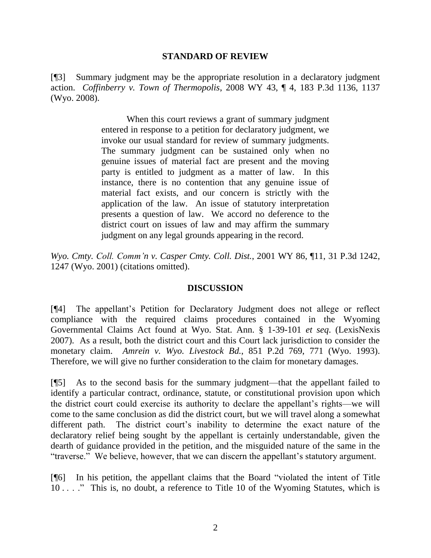#### **STANDARD OF REVIEW**

[¶3] Summary judgment may be the appropriate resolution in a declaratory judgment action. *Coffinberry v. Town of Thermopolis*, 2008 WY 43, ¶ 4, 183 P.3d 1136, 1137 (Wyo. 2008).

> When this court reviews a grant of summary judgment entered in response to a petition for declaratory judgment, we invoke our usual standard for review of summary judgments. The summary judgment can be sustained only when no genuine issues of material fact are present and the moving party is entitled to judgment as a matter of law. In this instance, there is no contention that any genuine issue of material fact exists, and our concern is strictly with the application of the law. An issue of statutory interpretation presents a question of law. We accord no deference to the district court on issues of law and may affirm the summary judgment on any legal grounds appearing in the record.

*Wyo. Cmty. Coll. Comm'n v. Casper Cmty. Coll. Dist.*, 2001 WY 86, ¶11, 31 P.3d 1242, 1247 (Wyo. 2001) (citations omitted).

### **DISCUSSION**

[¶4] The appellant's Petition for Declaratory Judgment does not allege or reflect compliance with the required claims procedures contained in the Wyoming Governmental Claims Act found at Wyo. Stat. Ann. § 1-39-101 *et seq*. (LexisNexis 2007). As a result, both the district court and this Court lack jurisdiction to consider the monetary claim. *Amrein v. Wyo. Livestock Bd.*, 851 P.2d 769, 771 (Wyo. 1993). Therefore, we will give no further consideration to the claim for monetary damages.

[¶5] As to the second basis for the summary judgment—that the appellant failed to identify a particular contract, ordinance, statute, or constitutional provision upon which the district court could exercise its authority to declare the appellant's rights—we will come to the same conclusion as did the district court, but we will travel along a somewhat different path. The district court's inability to determine the exact nature of the declaratory relief being sought by the appellant is certainly understandable, given the dearth of guidance provided in the petition, and the misguided nature of the same in the "traverse." We believe, however, that we can discern the appellant's statutory argument.

[¶6] In his petition, the appellant claims that the Board "violated the intent of Title 10 . . . ." This is, no doubt, a reference to Title 10 of the Wyoming Statutes, which is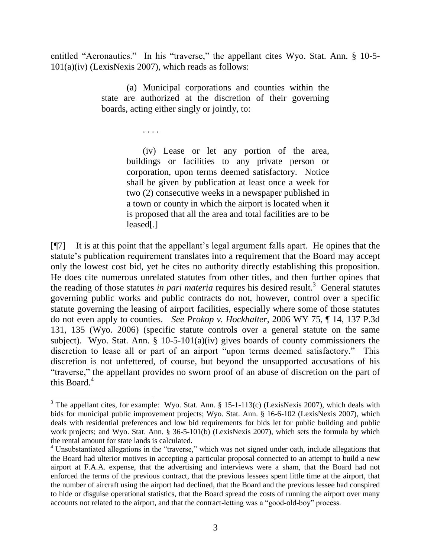entitled "Aeronautics." In his "traverse," the appellant cites Wyo. Stat. Ann. § 10-5- 101(a)(iv) (LexisNexis 2007), which reads as follows:

> (a) Municipal corporations and counties within the state are authorized at the discretion of their governing boards, acting either singly or jointly, to:

> > . . . .

 $\overline{a}$ 

(iv) Lease or let any portion of the area, buildings or facilities to any private person or corporation, upon terms deemed satisfactory. Notice shall be given by publication at least once a week for two (2) consecutive weeks in a newspaper published in a town or county in which the airport is located when it is proposed that all the area and total facilities are to be leased[.]

[¶7] It is at this point that the appellant's legal argument falls apart. He opines that the statute's publication requirement translates into a requirement that the Board may accept only the lowest cost bid, yet he cites no authority directly establishing this proposition. He does cite numerous unrelated statutes from other titles, and then further opines that the reading of those statutes *in pari materia* requires his desired result.<sup>3</sup> General statutes governing public works and public contracts do not, however, control over a specific statute governing the leasing of airport facilities, especially where some of those statutes do not even apply to counties. *See Prokop v. Hockhalter*, 2006 WY 75, ¶ 14, 137 P.3d 131, 135 (Wyo. 2006) (specific statute controls over a general statute on the same subject). Wyo. Stat. Ann. § 10-5-101(a)(iv) gives boards of county commissioners the discretion to lease all or part of an airport "upon terms deemed satisfactory." This discretion is not unfettered, of course, but beyond the unsupported accusations of his "traverse," the appellant provides no sworn proof of an abuse of discretion on the part of this Board. $4$ 

<sup>&</sup>lt;sup>3</sup> The appellant cites, for example: Wyo. Stat. Ann.  $\S$  15-1-113(c) (LexisNexis 2007), which deals with bids for municipal public improvement projects; Wyo. Stat. Ann. § 16-6-102 (LexisNexis 2007), which deals with residential preferences and low bid requirements for bids let for public building and public work projects; and Wyo. Stat. Ann. § 36-5-101(b) (LexisNexis 2007), which sets the formula by which the rental amount for state lands is calculated.

<sup>&</sup>lt;sup>4</sup> Unsubstantiated allegations in the "traverse," which was not signed under oath, include allegations that the Board had ulterior motives in accepting a particular proposal connected to an attempt to build a new airport at F.A.A. expense, that the advertising and interviews were a sham, that the Board had not enforced the terms of the previous contract, that the previous lessees spent little time at the airport, that the number of aircraft using the airport had declined, that the Board and the previous lessee had conspired to hide or disguise operational statistics, that the Board spread the costs of running the airport over many accounts not related to the airport, and that the contract-letting was a "good-old-boy" process.